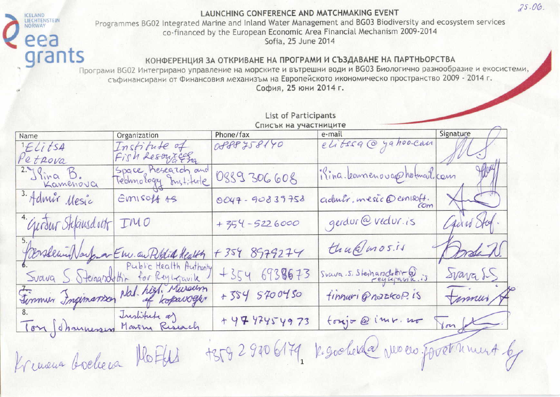ICELAND<br>LIECHTENSTEIN<br>NORWAY

Programmes BG02 Integrated Marine and Inland Water Management and BG03 Biodiversity and ecosystem services co-financed by the European Economic Area Financial Mechanism 2009-2014 Sofia, 25 June 2014

#### КОНФЕРЕНЦИЯ ЗА ОТКРИВАНЕ НА ПРОГРАМИ И СЪЗДАВАНЕ НА ПАРТНЬОРСТВА

eea<br>grants Програми BG02 Интегрирано управление на морските и вътрешни води и BG03 Биологично разнообразие и екосистеми, съфинансирани от Финансовия механизъм на Европейското икономическо пространство 2009 - 2014 г. София, 25 юни 2014 г.

|                              | List of Participants                       |                                    |                                             |            |
|------------------------------|--------------------------------------------|------------------------------------|---------------------------------------------|------------|
| Name                         | Organization                               | Списък на участниците<br>Phone/fax |                                             | Signature  |
| $ELi$ tsa<br>Petrova         | Institute of<br>Fish Resources             | OP88758140                         | e-mail<br>elitesa @ ya hoo-can              |            |
| $2.$ Slina $B$ .<br>Kamenova | Space Research and<br>Technology Institute | 0889306608                         | ilina. Learnenouare holmail. com            | Howy       |
| 3. Admir Mesic               | EMISOff AS                                 | 0047-90839758                      | admitismesic@emisoff.                       | $\sim$     |
| "Gurdur Sklausdott           | IMO                                        | $+354-5226000$                     | gerdur@vedur.is                             | Caus Stof. |
|                              |                                            | $+3548979274$                      | thu@mosis                                   | Jordin.    |
|                              | Prevaleur Narfora Em au Public Health      | $+3546738673$                      | Svava.s. Sterharschilden                    | Svava SS   |
|                              | Firmun Ingimance Nat. high Museum          | +384 5700450                       | finnuri Grazkop. IS                         | Fammus &   |
| Ton Schannessen Marin Risach | Institute a)                               | + 47 47454973                      | toxjo @ imr. no                             | Von JE.    |
| Kreuena boeleera             | MoFfeld                                    |                                    | +35929706179, kegochesda veren foretument 6 |            |

 $25.06.$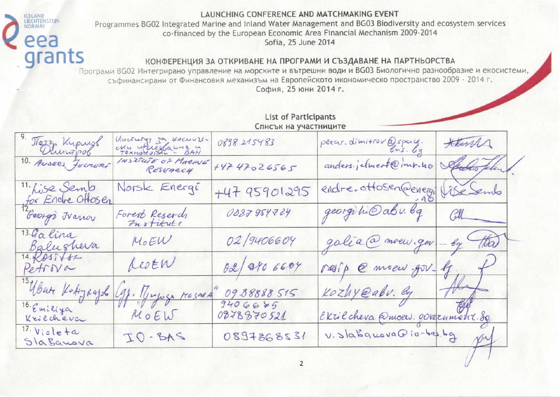ICELAND<br>LIECHTENSTEIN

NORWAY

Programmes BG02 Integrated Marine and Inland Water Management and BG03 Biodiversity and ecosystem services co-financed by the European Economic Area Financial Mechanism 2009-2014 Sofia, 25 June 2014

#### КОНФЕРЕНЦИЯ ЗА ОТКРИВАНЕ НА ПРОГРАМИ И СЪЗДАВАНЕ НА ПАРТНЬОРСТВА

eea<br>grants Програми ВG02 Интегрирано управление на морските и вътрешни води и ВG03 Биологично разнообразие и екосистеми, съфинансирани от Финансовия механизъм на Европейското икономическо пространство 2009 - 2014 г. София, 25 юни 2014 г.

|                                    | List of Participants<br>Списък на участниците |                         |                                |                      |
|------------------------------------|-----------------------------------------------|-------------------------|--------------------------------|----------------------|
| 9. Terry Kupush<br>Dingpol         | Uncrutys za Kocuulla<br>Chu utuescana - BAH   | 0898215483              | petar. dimitrov @space.        | Htura                |
|                                    | INSTRUIT OF MACINE<br>RESEARCH                | 44747026565             | anders, jetmert@inn.ho         | Aucho Jelend.        |
| 11. Lise Semb<br>for Endre Offosen | Norsk Energi                                  | $+4795901295$           | endre.ottosen@enegiblesemb     |                      |
| George Francy                      | Forest Reserch                                | 0887954724              | georgibil abu bq CUL           |                      |
| 13.Galina<br>Balushera             | $M_0EW$                                       | 02/9406604              | galia@moew.gov-bg (tda)        |                      |
| 14.6857682<br>Petrova              | destr                                         | 02/040 6604             | rasip @ moew gov- g.           |                      |
| Ubute Kottgaajob                   | 9). Muyosa reasnes                            | 09.88888515             | Kozhy@abv. By                  | $\frac{1}{\sqrt{2}}$ |
| 16. Emiliya<br>Krilcheva           | MOE                                           | $7406675$<br>0878870521 |                                |                      |
| $17.$ Viole $+a$<br>Slabanova      | $2AB-OT$                                      | 1228257280              | Ekrilcheva @moew.government.80 |                      |

 $\overline{2}$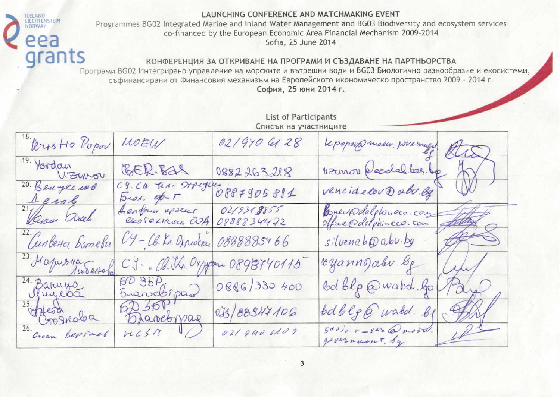ICELAND<br>LIECHTENSTEIN

NORWAY

Programmes BG02 Integrated Marine and Inland Water Management and BG03 Biodiversity and ecosystem services co-financed by the European Economic Area Financial Mechanism 2009-2014 Sofia, 25 June 2014

#### КОНФЕРЕНЦИЯ ЗА ОТКРИВАНЕ НА ПРОГРАМИ И СЪЗДАВАНЕ НА ПАРТНЬОРСТВА

eea<br>grants Програми ВG02 Интегрирано управление на морските и вътрешни води и ВG03 Биологично разнообразие и екосистеми. съфинансирани от Финансовия механизъм на Европейското икономическо пространство 2009 - 2014 г. София, 25 юни 2014 г.

|                               | List of Participants<br>Списък на участниците |                          |                                             |  |
|-------------------------------|-----------------------------------------------|--------------------------|---------------------------------------------|--|
| 18. Vers Ho Popor             | MOEW                                          | 02/970 6128              | Le poposa moeur poremuent ALD               |  |
| 19. Yordan<br>Uzunou          | BER.BAS                                       | 0882263218               | vanor écolel bas. Le AV                     |  |
|                               | C9. CB Jea. Otpugues 0887905881               |                          | vencidelov@abu.eg                           |  |
| 27 Januar Duch                | Arendrun Meseus                               | 02/9318855<br>0888834472 | brevedelphineco.com                         |  |
| Сипвена Ботева                | UY-CB. Kr. Oxprocrac                          | 0888885466               | silvenab@abv.bg                             |  |
| 23. Morpes 11a Testaba        | CJ. B. J.L. Dxpyer 0898740115                 |                          | reyanno abv. le<br>in                       |  |
| 24. Banuro                    | BD 35P.<br>Brancobipad                        | 0886/330 400             | bol blp @ wabd. go<br>Payo                  |  |
| $rac{25.}{26.}$ Croan Beponet | 6D50<br>Davebrag                              | 035/88947106             | bdblg@wabd.bl<br>Stal                       |  |
|                               | rcsnU                                         | 021 940 6109             | LPL<br>Savian-ver @model.<br>government. by |  |